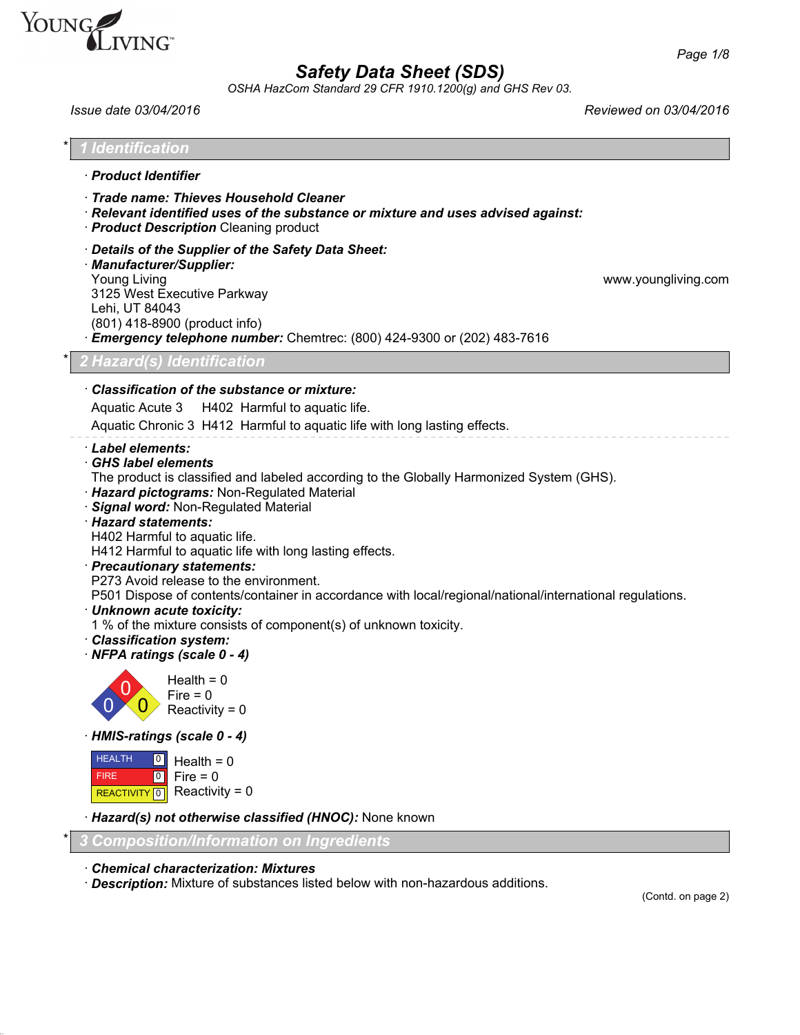

*OSHA HazCom Standard 29 CFR 1910.1200(g) and GHS Rev 03.*

*Issue date 03/04/2016 Reviewed on 03/04/2016*

| · Product Identifier                                                                                                                                                                                                                                                                                                                                                                                                                                                                                                                                                                                                                                                                            |                     |
|-------------------------------------------------------------------------------------------------------------------------------------------------------------------------------------------------------------------------------------------------------------------------------------------------------------------------------------------------------------------------------------------------------------------------------------------------------------------------------------------------------------------------------------------------------------------------------------------------------------------------------------------------------------------------------------------------|---------------------|
| · Trade name: Thieves Household Cleaner<br>· Relevant identified uses of the substance or mixture and uses advised against:<br>· <b>Product Description</b> Cleaning product                                                                                                                                                                                                                                                                                                                                                                                                                                                                                                                    |                     |
| Details of the Supplier of the Safety Data Sheet:<br>· Manufacturer/Supplier:<br><b>Young Living</b><br>3125 West Executive Parkway<br>Lehi, UT 84043<br>(801) 418-8900 (product info)<br>Emergency telephone number: Chemtrec: (800) 424-9300 or (202) 483-7616                                                                                                                                                                                                                                                                                                                                                                                                                                | www.youngliving.com |
| <b>2 Hazard(s) Identification</b>                                                                                                                                                                                                                                                                                                                                                                                                                                                                                                                                                                                                                                                               |                     |
| · Classification of the substance or mixture:<br>Aquatic Acute 3 H402 Harmful to aquatic life.<br>Aquatic Chronic 3 H412 Harmful to aquatic life with long lasting effects.                                                                                                                                                                                                                                                                                                                                                                                                                                                                                                                     |                     |
| Label elements:<br>· GHS label elements<br>The product is classified and labeled according to the Globally Harmonized System (GHS).<br>· Hazard pictograms: Non-Regulated Material<br>Signal word: Non-Regulated Material<br>· Hazard statements:<br>H402 Harmful to aquatic life.<br>H412 Harmful to aquatic life with long lasting effects.<br>· Precautionary statements:<br>P273 Avoid release to the environment.<br>P501 Dispose of contents/container in accordance with local/regional/national/international regulations.<br>· Unknown acute toxicity:<br>1 % of the mixture consists of component(s) of unknown toxicity.<br>· Classification system:<br>· NFPA ratings (scale 0 - 4) |                     |
| Health = $0$<br>Fire $= 0$<br>Reactivity = $0$                                                                                                                                                                                                                                                                                                                                                                                                                                                                                                                                                                                                                                                  |                     |
| · HMIS-ratings (scale 0 - 4)                                                                                                                                                                                                                                                                                                                                                                                                                                                                                                                                                                                                                                                                    |                     |
| <b>HEALTH</b><br>  0  <br>Health = $0$<br>Fire $= 0$<br><b>FIRE</b><br> 0 <br>Reactivity = $0$<br>REACTIVITY 0                                                                                                                                                                                                                                                                                                                                                                                                                                                                                                                                                                                  |                     |
| · Hazard(s) not otherwise classified (HNOC): None known                                                                                                                                                                                                                                                                                                                                                                                                                                                                                                                                                                                                                                         |                     |
|                                                                                                                                                                                                                                                                                                                                                                                                                                                                                                                                                                                                                                                                                                 |                     |

on page 2)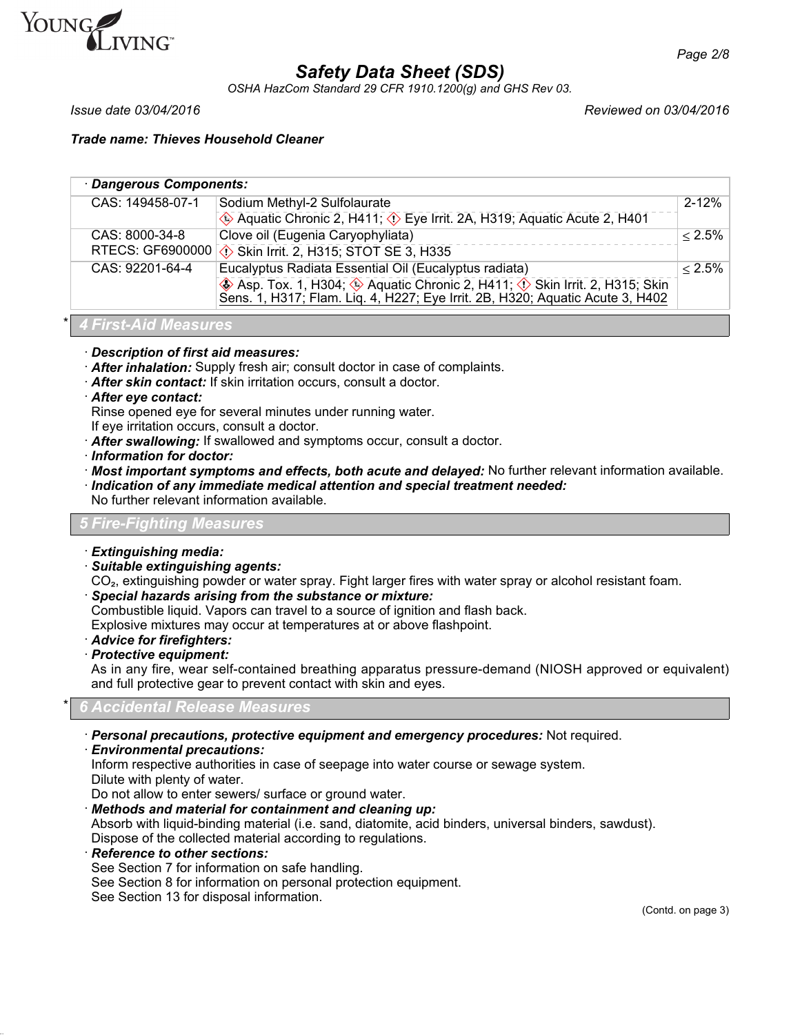

*OSHA HazCom Standard 29 CFR 1910.1200(g) and GHS Rev 03.*

*Issue date 03/04/2016 Reviewed on 03/04/2016*

*Trade name: Thieves Household Cleaner*

### · *Dangerous Components:*

| CAS: 149458-07-1        | Sodium Methyl-2 Sulfolaurate                                                                                                                              | $2 - 12%$ |
|-------------------------|-----------------------------------------------------------------------------------------------------------------------------------------------------------|-----------|
|                         | Aquatic Chronic 2, H411; $\Diamond$ Eye Irrit. 2A, H319; Aquatic Acute 2, H401                                                                            |           |
| CAS: 8000-34-8          | Clove oil (Eugenia Caryophyliata)                                                                                                                         | $< 2.5\%$ |
| <b>RTECS: GF6900000</b> | <b>① Skin Irrit. 2, H315; STOT SE 3, H335</b>                                                                                                             |           |
| CAS: 92201-64-4         | Eucalyptus Radiata Essential Oil (Eucalyptus radiata)                                                                                                     | $< 2.5\%$ |
|                         | ♦ Asp. Tox. 1, H304; ♦ Aquatic Chronic 2, H411; ♦ Skin Irrit. 2, H315; Skin Sens. 1, H317; Flam. Liq. 4, H227; Eye Irrit. 2B, H320; Aquatic Acute 3, H402 |           |

### \* *4 First-Aid Measures*

· *Description of first aid measures:*

- · *After inhalation:* Supply fresh air; consult doctor in case of complaints.
- · *After skin contact:* If skin irritation occurs, consult a doctor.
- · *After eye contact:*

Rinse opened eye for several minutes under running water.

- If eye irritation occurs, consult a doctor.
- · *After swallowing:* If swallowed and symptoms occur, consult a doctor.
- · *Information for doctor:*
- · *Most important symptoms and effects, both acute and delayed:* No further relevant information available.
- · *Indication of any immediate medical attention and special treatment needed:*

No further relevant information available.

### *5 Fire-Fighting Measures*

### · *Extinguishing media:*

· *Suitable extinguishing agents:*

CO<sub>2</sub>, extinguishing powder or water spray. Fight larger fires with water spray or alcohol resistant foam.

· *Special hazards arising from the substance or mixture:*

Combustible liquid. Vapors can travel to a source of ignition and flash back.

Explosive mixtures may occur at temperatures at or above flashpoint.

- · *Advice for firefighters:*
- · *Protective equipment:*

As in any fire, wear self-contained breathing apparatus pressure-demand (NIOSH approved or equivalent) and full protective gear to prevent contact with skin and eyes.

### \* *6 Accidental Release Measures*

- · *Personal precautions, protective equipment and emergency procedures:* Not required.
- · *Environmental precautions:*

Inform respective authorities in case of seepage into water course or sewage system. Dilute with plenty of water.

Do not allow to enter sewers/ surface or ground water.

· *Methods and material for containment and cleaning up:*

Absorb with liquid-binding material (i.e. sand, diatomite, acid binders, universal binders, sawdust). Dispose of the collected material according to regulations.

· *Reference to other sections:*

See Section 7 for information on safe handling.

See Section 8 for information on personal protection equipment.

See Section 13 for disposal information.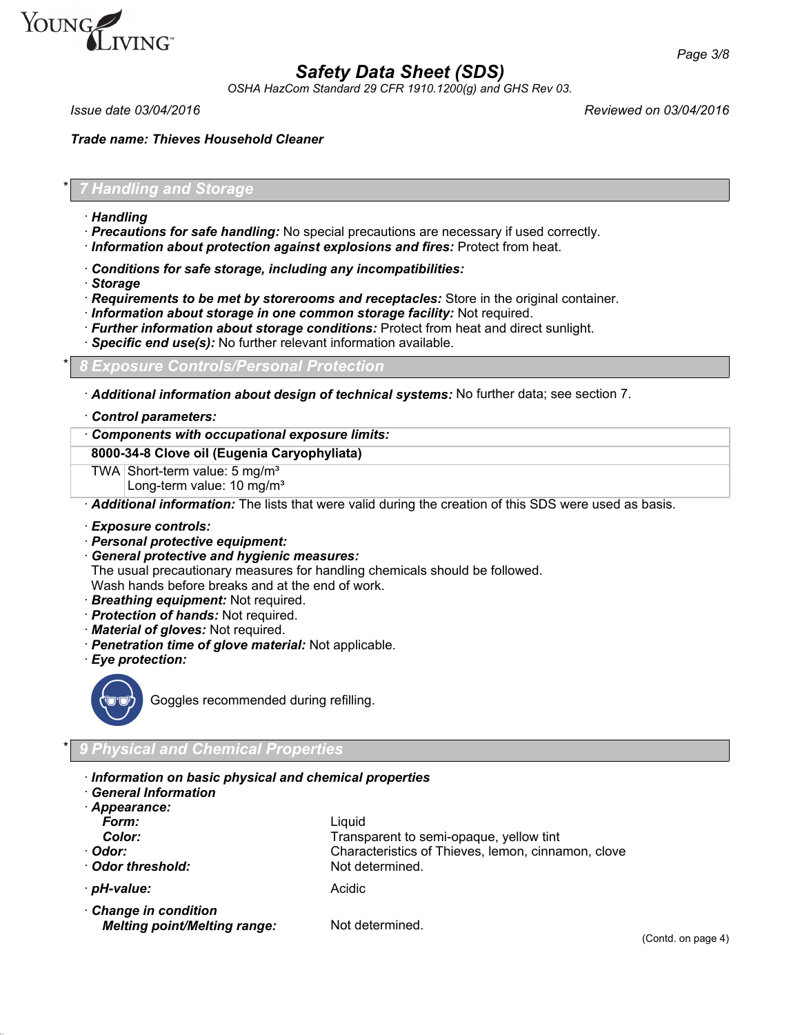

*OSHA HazCom Standard 29 CFR 1910.1200(g) and GHS Rev 03.*

*Issue date 03/04/2016 Reviewed on 03/04/2016*

*Trade name: Thieves Household Cleaner*

\* *7 Handling and Storage*

- · *Handling*
- · *Precautions for safe handling:* No special precautions are necessary if used correctly.
- · *Information about protection against explosions and fires:* Protect from heat.
- · *Conditions for safe storage, including any incompatibilities:*
- · *Storage*
- · *Requirements to be met by storerooms and receptacles:* Store in the original container.
- · *Information about storage in one common storage facility:* Not required.
- · *Further information about storage conditions:* Protect from heat and direct sunlight.
- · *Specific end use(s):* No further relevant information available.

\* *8 Exposure Controls/Personal Protection*

· *Additional information about design of technical systems:* No further data; see section 7.

· *Control parameters:*

· *Components with occupational exposure limits:*

### **8000-34-8 Clove oil (Eugenia Caryophyliata)**

TWA Short-term value: 5 mg/m<sup>3</sup>

Long-term value: 10 mg/m<sup>3</sup>

· *Additional information:* The lists that were valid during the creation of this SDS were used as basis.

- · *Exposure controls:*
- · *Personal protective equipment:*
- · *General protective and hygienic measures:*

The usual precautionary measures for handling chemicals should be followed. Wash hands before breaks and at the end of work.

· *Breathing equipment:* Not required.

- · *Protection of hands:* Not required.
- · *Material of gloves:* Not required.
- · *Penetration time of glove material:* Not applicable.
- · *Eye protection:*



Goggles recommended during refilling.

\* *9 Physical and Chemical Properties*

- · *Information on basic physical and chemical properties*
- · *General Information*
- · *Appearance: Form:* Liquid
- 

- · **Odor threshold:** Not determined.
- · *pH-value:* Acidic

**Color:** Transparent to semi-opaque, yellow tint · *Odor:* Characteristics of Thieves, lemon, cinnamon, clove

· *Change in condition Melting point/Melting range:* Not determined.

(Contd. on page 4)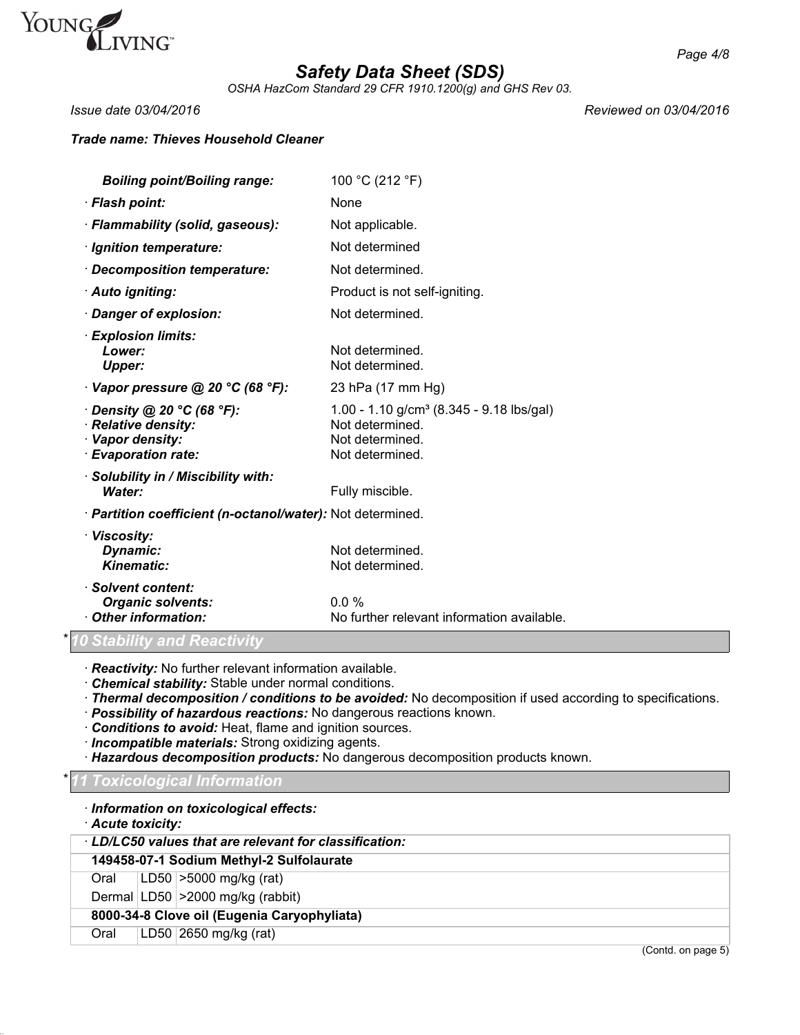

*OSHA HazCom Standard 29 CFR 1910.1200(g) and GHS Rev 03.*

*Issue date 03/04/2016 Reviewed on 03/04/2016*

# *Trade name: Thieves Household Cleaner*

| <b>Boiling point/Boiling range:</b>                                                                | 100 °C (212 °F)                                                                                               |
|----------------------------------------------------------------------------------------------------|---------------------------------------------------------------------------------------------------------------|
| · Flash point:                                                                                     | <b>None</b>                                                                                                   |
| · Flammability (solid, gaseous):                                                                   | Not applicable.                                                                                               |
| · Ignition temperature:                                                                            | Not determined                                                                                                |
| · Decomposition temperature:                                                                       | Not determined.                                                                                               |
| · Auto igniting:                                                                                   | Product is not self-igniting.                                                                                 |
| · Danger of explosion:                                                                             | Not determined.                                                                                               |
| · Explosion limits:<br>Lower:<br>Upper:                                                            | Not determined.<br>Not determined.                                                                            |
| $\cdot$ Vapor pressure @ 20 °C (68 °F):                                                            | 23 hPa (17 mm Hg)                                                                                             |
| $\cdot$ Density @ 20 °C (68 °F):<br>· Relative density:<br>· Vapor density:<br>· Evaporation rate: | 1.00 - 1.10 g/cm <sup>3</sup> (8.345 - 9.18 lbs/gal)<br>Not determined.<br>Not determined.<br>Not determined. |
| · Solubility in / Miscibility with:<br>Water:                                                      | Fully miscible.                                                                                               |
| · Partition coefficient (n-octanol/water): Not determined.                                         |                                                                                                               |
| · Viscosity:<br>Dynamic:<br>Kinematic:                                                             | Not determined.<br>Not determined.                                                                            |
| · Solvent content:<br><b>Organic solvents:</b><br>Other information:                               | $0.0\%$<br>No further relevant information available.                                                         |
| <b>0 Stability and Reactivity</b>                                                                  |                                                                                                               |

· *Reactivity:* No further relevant information available.

· *Chemical stability:* Stable under normal conditions.

· *Thermal decomposition / conditions to be avoided:* No decomposition if used according to specifications.

· *Possibility of hazardous reactions:* No dangerous reactions known.

· *Conditions to avoid:* Heat, flame and ignition sources.

· *Incompatible materials:* Strong oxidizing agents.

· *Hazardous decomposition products:* No dangerous decomposition products known.

### \* *11 Toxicological Information*

· *Information on toxicological effects:*

| Acute toxicity:                                      |  |                                          |
|------------------------------------------------------|--|------------------------------------------|
| LD/LC50 values that are relevant for classification: |  |                                          |
|                                                      |  | 149458-07-1 Sodium Methyl-2 Sulfolaurate |
| Oral                                                 |  | $LD50$ > 5000 mg/kg (rat)                |
|                                                      |  | Dermal LD50 > 2000 mg/kg (rabbit)        |
| 8000-34-8 Clove oil (Eugenia Caryophyliata)          |  |                                          |
| Oral                                                 |  | LD50 $2650$ mg/kg (rat)                  |

(Contd. on page 5)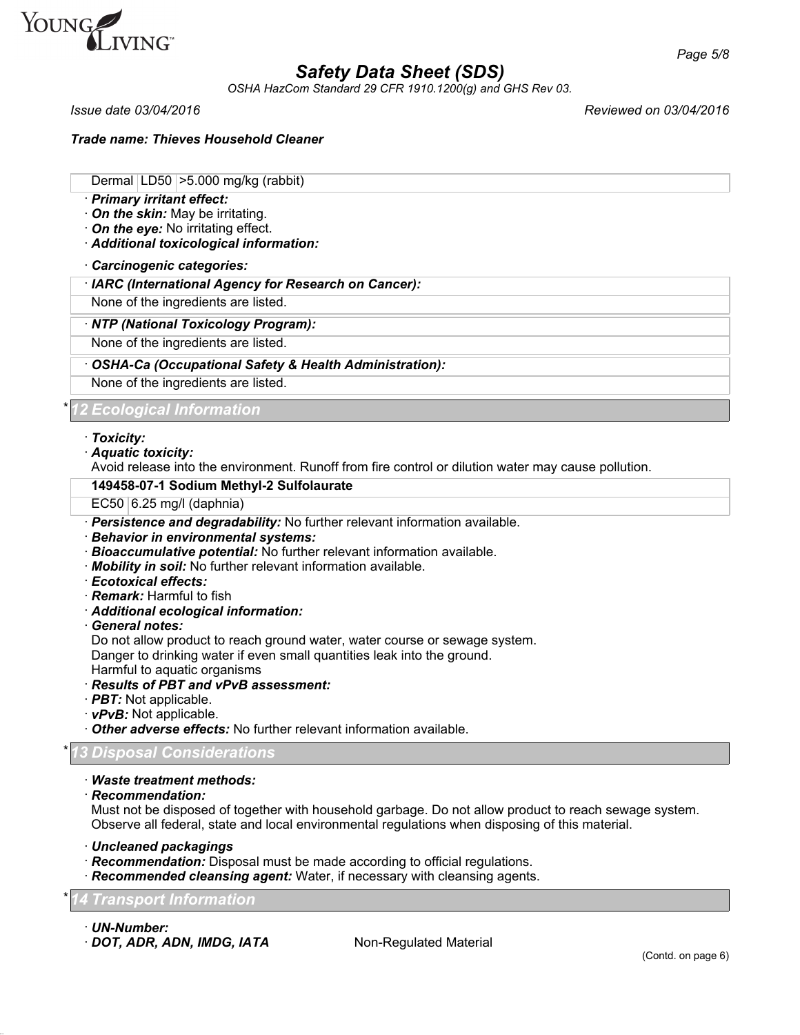

*OSHA HazCom Standard 29 CFR 1910.1200(g) and GHS Rev 03.*

*Issue date 03/04/2016 Reviewed on 03/04/2016*

*Page 5/8*

*Trade name: Thieves Household Cleaner*

Dermal LD50 >5.000 mg/kg (rabbit)

- · *Primary irritant effect:*
- · *On the skin:* May be irritating.
- · *On the eye:* No irritating effect.
- · *Additional toxicological information:*

#### · *Carcinogenic categories:*

· *IARC (International Agency for Research on Cancer):*

None of the ingredients are listed.

#### · *NTP (National Toxicology Program):*

None of the ingredients are listed.

### · *OSHA-Ca (Occupational Safety & Health Administration):*

None of the ingredients are listed.

# \* *12 Ecological Information*

#### · *Toxicity:*

· *Aquatic toxicity:*

Avoid release into the environment. Runoff from fire control or dilution water may cause pollution.

#### **149458-07-1 Sodium Methyl-2 Sulfolaurate**

- EC50  $6.25$  mg/l (daphnia)
- · *Persistence and degradability:* No further relevant information available.
- · *Behavior in environmental systems:*
- · *Bioaccumulative potential:* No further relevant information available.
- · *Mobility in soil:* No further relevant information available.
- · *Ecotoxical effects:*
- · *Remark:* Harmful to fish
- · *Additional ecological information:*
- · *General notes:*

Do not allow product to reach ground water, water course or sewage system. Danger to drinking water if even small quantities leak into the ground.

Harmful to aquatic organisms

### · *Results of PBT and vPvB assessment:*

- · *PBT:* Not applicable.
- · *vPvB:* Not applicable.

· *Other adverse effects:* No further relevant information available.

### \* *13 Disposal Considerations*

### · *Waste treatment methods:*

· *Recommendation:*

Must not be disposed of together with household garbage. Do not allow product to reach sewage system. Observe all federal, state and local environmental regulations when disposing of this material.

- · *Uncleaned packagings*
- · *Recommendation:* Disposal must be made according to official regulations.
- · *Recommended cleansing agent:* Water, if necessary with cleansing agents.

### \* *14 Transport Information*

- · *UN-Number:*
- · **DOT, ADR, ADN, IMDG, IATA** Non-Regulated Material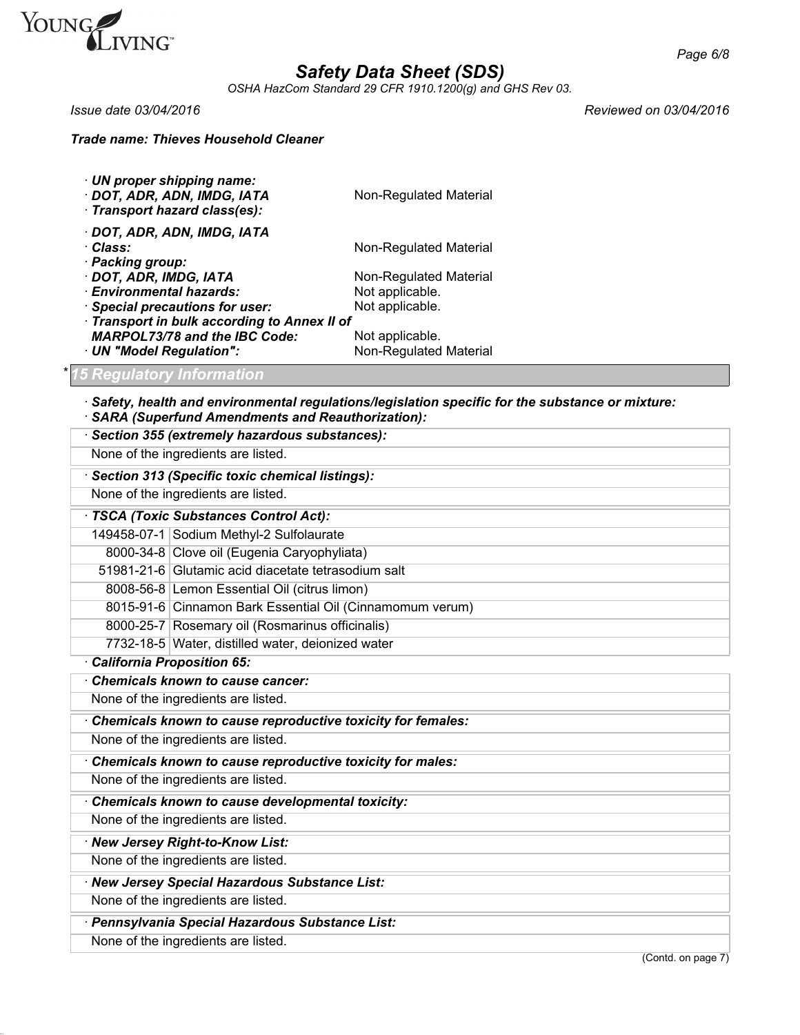

*OSHA HazCom Standard 29 CFR 1910.1200(g) and GHS Rev 03.*

*Issue date 03/04/2016 Reviewed on 03/04/2016*

# *Trade name: Thieves Household Cleaner*

| · UN proper shipping name:<br>· DOT, ADR, ADN, IMDG, IATA<br>· Transport hazard class(es): | Non-Regulated Material |  |
|--------------------------------------------------------------------------------------------|------------------------|--|
| · DOT, ADR, ADN, IMDG, IATA                                                                |                        |  |
| · Class:                                                                                   | Non-Regulated Material |  |
| · Packing group:                                                                           |                        |  |
| · DOT, ADR, IMDG, IATA                                                                     | Non-Regulated Material |  |
| · Environmental hazards:                                                                   | Not applicable.        |  |
| · Special precautions for user:                                                            | Not applicable.        |  |
| Transport in bulk according to Annex II of                                                 |                        |  |
| <b>MARPOL73/78 and the IBC Code:</b>                                                       | Not applicable.        |  |
| · UN "Model Regulation":                                                                   | Non-Regulated Material |  |

# \* *15 Regulatory Information*

- · *Safety, health and environmental regulations/legislation specific for the substance or mixture:*
- · *SARA (Superfund Amendments and Reauthorization):*

| Section 355 (extremely hazardous substances):               |                                                          |  |
|-------------------------------------------------------------|----------------------------------------------------------|--|
| None of the ingredients are listed.                         |                                                          |  |
| · Section 313 (Specific toxic chemical listings):           |                                                          |  |
| None of the ingredients are listed.                         |                                                          |  |
| · TSCA (Toxic Substances Control Act):                      |                                                          |  |
|                                                             | 149458-07-1 Sodium Methyl-2 Sulfolaurate                 |  |
|                                                             | 8000-34-8 Clove oil (Eugenia Caryophyliata)              |  |
|                                                             | 51981-21-6 Glutamic acid diacetate tetrasodium salt      |  |
|                                                             | 8008-56-8 Lemon Essential Oil (citrus limon)             |  |
|                                                             | 8015-91-6 Cinnamon Bark Essential Oil (Cinnamomum verum) |  |
|                                                             | 8000-25-7 Rosemary oil (Rosmarinus officinalis)          |  |
|                                                             | 7732-18-5 Water, distilled water, deionized water        |  |
| · California Proposition 65:                                |                                                          |  |
|                                                             | Chemicals known to cause cancer:                         |  |
|                                                             | None of the ingredients are listed.                      |  |
| Chemicals known to cause reproductive toxicity for females: |                                                          |  |
| None of the ingredients are listed.                         |                                                          |  |
| Chemicals known to cause reproductive toxicity for males:   |                                                          |  |
| None of the ingredients are listed.                         |                                                          |  |
|                                                             | Chemicals known to cause developmental toxicity:         |  |
|                                                             | None of the ingredients are listed.                      |  |
|                                                             | · New Jersey Right-to-Know List:                         |  |
| None of the ingredients are listed.                         |                                                          |  |
|                                                             | · New Jersey Special Hazardous Substance List:           |  |
|                                                             | None of the ingredients are listed.                      |  |
| · Pennsylvania Special Hazardous Substance List:            |                                                          |  |
| None of the ingredients are listed.                         |                                                          |  |
|                                                             | (Contd. on page 7)                                       |  |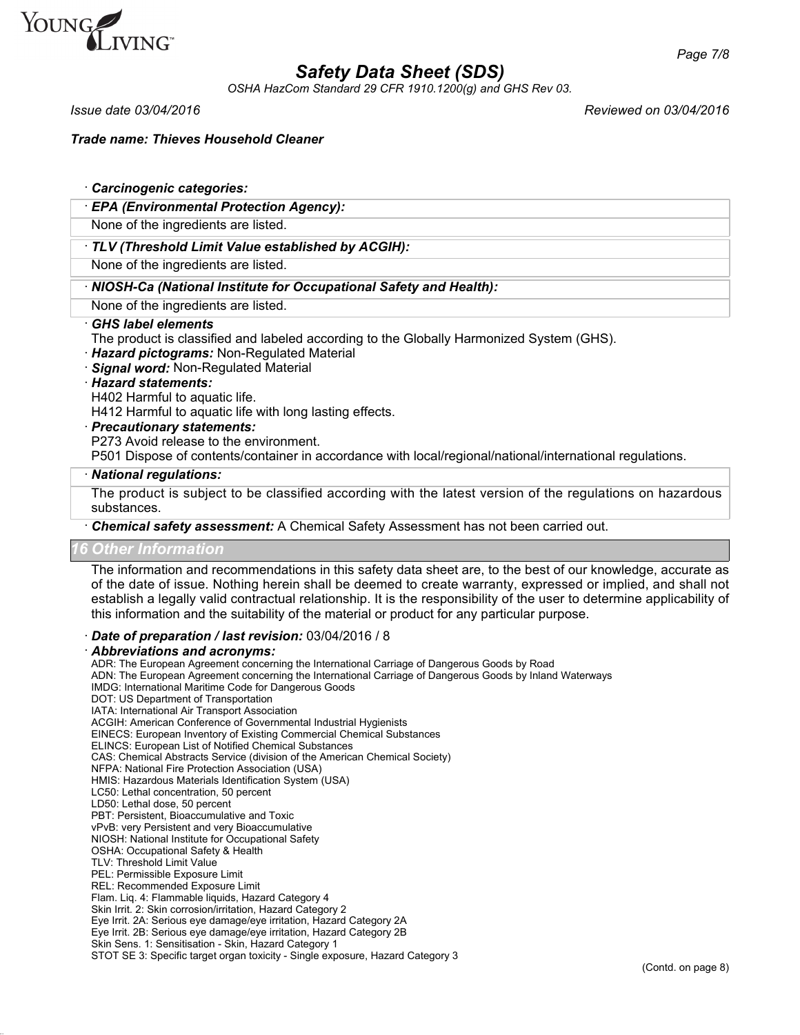

*OSHA HazCom Standard 29 CFR 1910.1200(g) and GHS Rev 03.*

*Issue date 03/04/2016 Reviewed on 03/04/2016*

*Trade name: Thieves Household Cleaner*

### · *Carcinogenic categories:*

#### · *EPA (Environmental Protection Agency):*

None of the ingredients are listed.

### · *TLV (Threshold Limit Value established by ACGIH):*

None of the ingredients are listed.

### · *NIOSH-Ca (National Institute for Occupational Safety and Health):*

None of the ingredients are listed.

#### · *GHS label elements*

The product is classified and labeled according to the Globally Harmonized System (GHS).

- · *Hazard pictograms:* Non-Regulated Material
- · *Signal word:* Non-Regulated Material

#### · *Hazard statements:*

H402 Harmful to aquatic life.

H412 Harmful to aquatic life with long lasting effects.

#### · *Precautionary statements:*

P273 Avoid release to the environment.

P501 Dispose of contents/container in accordance with local/regional/national/international regulations.

#### · *National regulations:*

The product is subject to be classified according with the latest version of the regulations on hazardous substances.

· *Chemical safety assessment:* A Chemical Safety Assessment has not been carried out.

#### *16 Other Information*

The information and recommendations in this safety data sheet are, to the best of our knowledge, accurate as of the date of issue. Nothing herein shall be deemed to create warranty, expressed or implied, and shall not establish a legally valid contractual relationship. It is the responsibility of the user to determine applicability of this information and the suitability of the material or product for any particular purpose.

### · *Date of preparation / last revision:* 03/04/2016 / 8

#### · *Abbreviations and acronyms:*

ADR: The European Agreement concerning the International Carriage of Dangerous Goods by Road ADN: The European Agreement concerning the International Carriage of Dangerous Goods by Inland Waterways IMDG: International Maritime Code for Dangerous Goods DOT: US Department of Transportation IATA: International Air Transport Association ACGIH: American Conference of Governmental Industrial Hygienists EINECS: European Inventory of Existing Commercial Chemical Substances ELINCS: European List of Notified Chemical Substances CAS: Chemical Abstracts Service (division of the American Chemical Society) NFPA: National Fire Protection Association (USA) HMIS: Hazardous Materials Identification System (USA) LC50: Lethal concentration, 50 percent LD50: Lethal dose, 50 percent PBT: Persistent, Bioaccumulative and Toxic vPvB: very Persistent and very Bioaccumulative NIOSH: National Institute for Occupational Safety OSHA: Occupational Safety & Health TLV: Threshold Limit Value PEL: Permissible Exposure Limit REL: Recommended Exposure Limit Flam. Liq. 4: Flammable liquids, Hazard Category 4 Skin Irrit. 2: Skin corrosion/irritation, Hazard Category 2 Eye Irrit. 2A: Serious eye damage/eye irritation, Hazard Category 2A Eye Irrit. 2B: Serious eye damage/eye irritation, Hazard Category 2B Skin Sens. 1: Sensitisation - Skin, Hazard Category 1